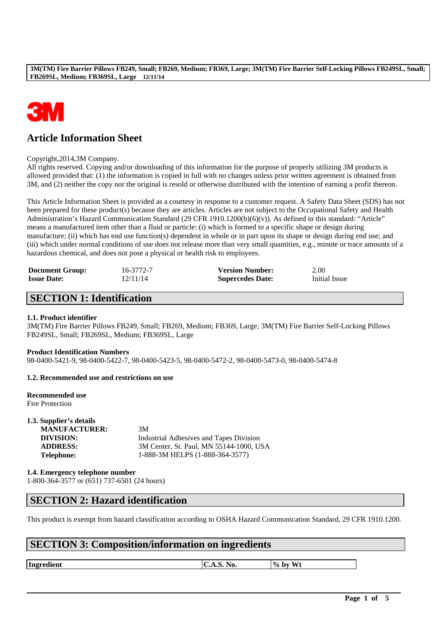

# **Article Information Sheet**

Copyright,2014,3M Company.

All rights reserved. Copying and/or downloading of this information for the purpose of properly utilizing 3M products is allowed provided that: (1) the information is copied in full with no changes unless prior written agreement is obtained from 3M, and (2) neither the copy nor the original is resold or otherwise distributed with the intention of earning a profit thereon.

This Article Information Sheet is provided as a courtesy in response to a customer request. A Safety Data Sheet (SDS) has not been prepared for these product(s) because they are articles. Articles are not subject to the Occupational Safety and Health Administration's Hazard Communication Standard (29 CFR 1910.1200(b)(6)(v)). As defined in this standard: "Article" means a manufactured item other than a fluid or particle: (i) which is formed to a specific shape or design during manufacture; (ii) which has end use function(s) dependent in whole or in part upon its shape or design during end use; and (iii) which under normal conditions of use does not release more than very small quantities, e.g., minute or trace amounts of a hazardous chemical, and does not pose a physical or health risk to employees.

| <b>Document Group:</b> | 16-3772-7 | <b>Version Number:</b>  | 2.00          |
|------------------------|-----------|-------------------------|---------------|
| <b>Issue Date:</b>     | 12/11/14  | <b>Supercedes Date:</b> | Initial Issue |

# **SECTION 1: Identification**

## **1.1. Product identifier**

3M(TM) Fire Barrier Pillows FB249, Small; FB269, Medium; FB369, Large; 3M(TM) Fire Barrier Self-Locking Pillows FB249SL, Small; FB269SL, Medium; FB369SL, Large

## **Product Identification Numbers**

98-0400-5421-9, 98-0400-5422-7, 98-0400-5423-5, 98-0400-5472-2, 98-0400-5473-0, 98-0400-5474-8

## **1.2. Recommended use and restrictions on use**

**Recommended use** Fire Protection

| 1.3. Supplier's details |                                         |
|-------------------------|-----------------------------------------|
| <b>MANUFACTURER:</b>    | 3M                                      |
| DIVISION:               | Industrial Adhesives and Tapes Division |
| <b>ADDRESS:</b>         | 3M Center, St. Paul, MN 55144-1000, USA |
| <b>Telephone:</b>       | 1-888-3M HELPS (1-888-364-3577)         |

**1.4. Emergency telephone number** 1-800-364-3577 or (651) 737-6501 (24 hours)

# **SECTION 2: Hazard identification**

This product is exempt from hazard classification according to OSHA Hazard Communication Standard, 29 CFR 1910.1200.

# **SECTION 3: Composition/information on ingredients**

**Ingredient C.A.S. No. 9% by Wt** 

\_\_\_\_\_\_\_\_\_\_\_\_\_\_\_\_\_\_\_\_\_\_\_\_\_\_\_\_\_\_\_\_\_\_\_\_\_\_\_\_\_\_\_\_\_\_\_\_\_\_\_\_\_\_\_\_\_\_\_\_\_\_\_\_\_\_\_\_\_\_\_\_\_\_\_\_\_\_\_\_\_\_\_\_\_\_\_\_\_\_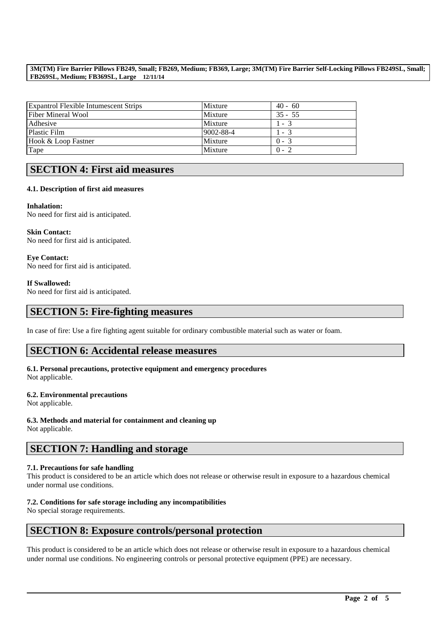| <b>Expantrol Flexible Intumescent Strips</b> | Mixture   | $40 - 60$ |
|----------------------------------------------|-----------|-----------|
| Fiber Mineral Wool                           | Mixture   | $35 - 55$ |
| Adhesive                                     | Mixture   | $1 - 3$   |
| <b>Plastic Film</b>                          | 9002-88-4 | $1 - 3$   |
| Hook & Loop Fastner                          | Mixture   | $0 - 3$   |
| Tape                                         | Mixture   | $0 - 2$   |

# **SECTION 4: First aid measures**

## **4.1. Description of first aid measures**

**Inhalation:**  No need for first aid is anticipated.

**Skin Contact:**  No need for first aid is anticipated.

**Eye Contact:**  No need for first aid is anticipated.

## **If Swallowed:**

No need for first aid is anticipated.

# **SECTION 5: Fire-fighting measures**

In case of fire: Use a fire fighting agent suitable for ordinary combustible material such as water or foam.

# **SECTION 6: Accidental release measures**

**6.1. Personal precautions, protective equipment and emergency procedures** Not applicable.

## **6.2. Environmental precautions**

Not applicable.

**6.3. Methods and material for containment and cleaning up** Not applicable.

# **SECTION 7: Handling and storage**

## **7.1. Precautions for safe handling**

This product is considered to be an article which does not release or otherwise result in exposure to a hazardous chemical under normal use conditions.

## **7.2. Conditions for safe storage including any incompatibilities**

No special storage requirements.

# **SECTION 8: Exposure controls/personal protection**

This product is considered to be an article which does not release or otherwise result in exposure to a hazardous chemical under normal use conditions. No engineering controls or personal protective equipment (PPE) are necessary.

\_\_\_\_\_\_\_\_\_\_\_\_\_\_\_\_\_\_\_\_\_\_\_\_\_\_\_\_\_\_\_\_\_\_\_\_\_\_\_\_\_\_\_\_\_\_\_\_\_\_\_\_\_\_\_\_\_\_\_\_\_\_\_\_\_\_\_\_\_\_\_\_\_\_\_\_\_\_\_\_\_\_\_\_\_\_\_\_\_\_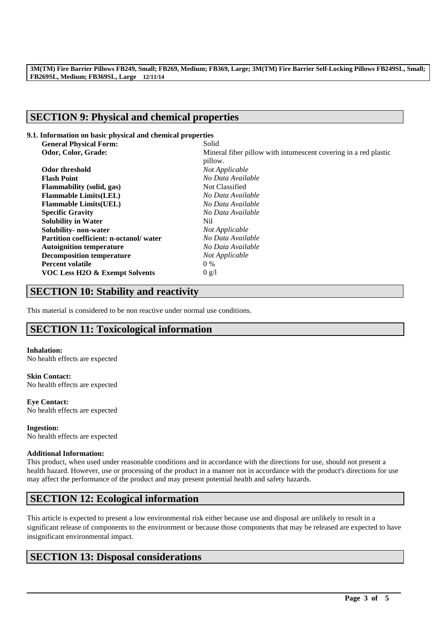# **SECTION 9: Physical and chemical properties**

## **9.1. Information on basic physical and chemical properties**

| <b>General Physical Form:</b>          | Solid                                                           |  |
|----------------------------------------|-----------------------------------------------------------------|--|
| Odor, Color, Grade:                    | Mineral fiber pillow with intumescent covering in a red plastic |  |
|                                        | pillow.                                                         |  |
| Odor threshold                         | Not Applicable                                                  |  |
| <b>Flash Point</b>                     | No Data Available                                               |  |
| <b>Flammability</b> (solid, gas)       | Not Classified                                                  |  |
| <b>Flammable Limits(LEL)</b>           | No Data Available                                               |  |
| <b>Flammable Limits(UEL)</b>           | No Data Available                                               |  |
| <b>Specific Gravity</b>                | No Data Available                                               |  |
| <b>Solubility in Water</b>             | Nil                                                             |  |
| Solubility- non-water                  | Not Applicable                                                  |  |
| Partition coefficient: n-octanol/water | No Data Available                                               |  |
| <b>Autoignition temperature</b>        | No Data Available                                               |  |
| <b>Decomposition temperature</b>       | Not Applicable                                                  |  |
| <b>Percent volatile</b>                | $0\%$                                                           |  |
| VOC Less H2O & Exempt Solvents         | 0 g/l                                                           |  |
|                                        |                                                                 |  |

# **SECTION 10: Stability and reactivity**

This material is considered to be non reactive under normal use conditions.

# **SECTION 11: Toxicological information**

## **Inhalation:**

No health effects are expected

**Skin Contact:** No health effects are expected

**Eye Contact:** No health effects are expected

**Ingestion:** No health effects are expected

## **Additional Information:**

This product, when used under reasonable conditions and in accordance with the directions for use, should not present a health hazard. However, use or processing of the product in a manner not in accordance with the product's directions for use may affect the performance of the product and may present potential health and safety hazards.

# **SECTION 12: Ecological information**

This article is expected to present a low environmental risk either because use and disposal are unlikely to result in a significant release of components to the environment or because those components that may be released are expected to have insignificant environmental impact.

\_\_\_\_\_\_\_\_\_\_\_\_\_\_\_\_\_\_\_\_\_\_\_\_\_\_\_\_\_\_\_\_\_\_\_\_\_\_\_\_\_\_\_\_\_\_\_\_\_\_\_\_\_\_\_\_\_\_\_\_\_\_\_\_\_\_\_\_\_\_\_\_\_\_\_\_\_\_\_\_\_\_\_\_\_\_\_\_\_\_

# **SECTION 13: Disposal considerations**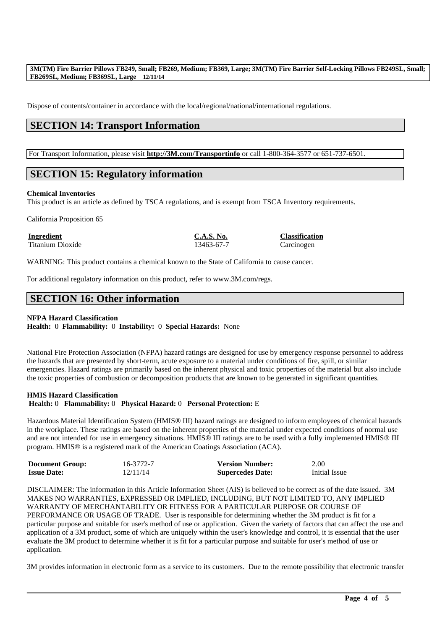Dispose of contents/container in accordance with the local/regional/national/international regulations.

# **SECTION 14: Transport Information**

For Transport Information, please visit **http://3M.com/Transportinfo** or call 1-800-364-3577 or 651-737-6501.

# **SECTION 15: Regulatory information**

#### **Chemical Inventories**

This product is an article as defined by TSCA regulations, and is exempt from TSCA Inventory requirements.

California Proposition 65

**Ingredient C.A.S. No. Classification**

Titanium Dioxide 13463-67-7 Carcinogen

WARNING: This product contains a chemical known to the State of California to cause cancer.

For additional regulatory information on this product, refer to www.3M.com/regs.

# **SECTION 16: Other information**

### **NFPA Hazard Classification**

**Health:** 0 **Flammability:** 0 **Instability:** 0 **Special Hazards:** None

National Fire Protection Association (NFPA) hazard ratings are designed for use by emergency response personnel to address the hazards that are presented by short-term, acute exposure to a material under conditions of fire, spill, or similar emergencies. Hazard ratings are primarily based on the inherent physical and toxic properties of the material but also include the toxic properties of combustion or decomposition products that are known to be generated in significant quantities.

## **HMIS Hazard Classification**

### **Health:** 0 **Flammability:** 0 **Physical Hazard:** 0 **Personal Protection:** E

Hazardous Material Identification System (HMIS® III) hazard ratings are designed to inform employees of chemical hazards in the workplace. These ratings are based on the inherent properties of the material under expected conditions of normal use and are not intended for use in emergency situations. HMIS® III ratings are to be used with a fully implemented HMIS® III program. HMIS® is a registered mark of the American Coatings Association (ACA).

| <b>Document Group:</b> | 16-3772-7 | <b>Version Number:</b>  | 2.00          |
|------------------------|-----------|-------------------------|---------------|
| <b>Issue Date:</b>     | 12/11/14  | <b>Supercedes Date:</b> | Initial Issue |

DISCLAIMER: The information in this Article Information Sheet (AIS) is believed to be correct as of the date issued. 3M MAKES NO WARRANTIES, EXPRESSED OR IMPLIED, INCLUDING, BUT NOT LIMITED TO, ANY IMPLIED WARRANTY OF MERCHANTABILITY OR FITNESS FOR A PARTICULAR PURPOSE OR COURSE OF PERFORMANCE OR USAGE OF TRADE. User is responsible for determining whether the 3M product is fit for a particular purpose and suitable for user's method of use or application. Given the variety of factors that can affect the use and application of a 3M product, some of which are uniquely within the user's knowledge and control, it is essential that the user evaluate the 3M product to determine whether it is fit for a particular purpose and suitable for user's method of use or application.

3M provides information in electronic form as a service to its customers. Due to the remote possibility that electronic transfer

\_\_\_\_\_\_\_\_\_\_\_\_\_\_\_\_\_\_\_\_\_\_\_\_\_\_\_\_\_\_\_\_\_\_\_\_\_\_\_\_\_\_\_\_\_\_\_\_\_\_\_\_\_\_\_\_\_\_\_\_\_\_\_\_\_\_\_\_\_\_\_\_\_\_\_\_\_\_\_\_\_\_\_\_\_\_\_\_\_\_